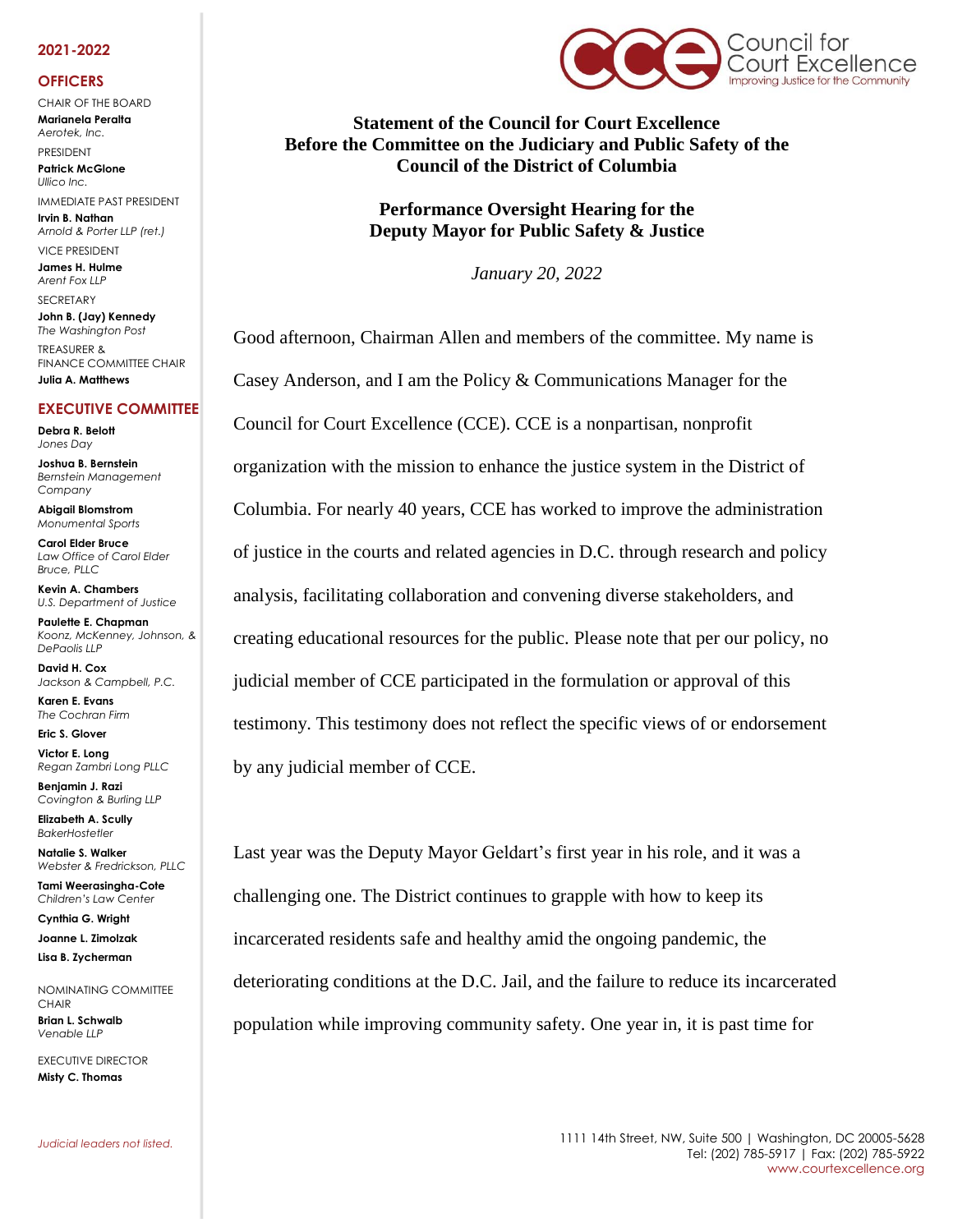## **2021-2022**

## **OFFICERS**

CHAIR OF THE BOARD **Marianela Peralta** *Aerotek, Inc.*

PRESIDENT **Patrick McGlone** *Ullico Inc.* 

IMMEDIATE PAST PRESIDENT **Irvin B. Nathan** *Arnold & Porter LLP (ret.)* 

VICE PRESIDENT **James H. Hulme** *Arent Fox LLP*

**SECRETARY** 

**John B. (Jay) Kennedy** *The Washington Post* TREASURER & FINANCE COMMITTEE CHAIR **Julia A. Matthews**

## **EXECUTIVE COMMITTEE**

**Debra R. Belott** *Jones Day*

**Joshua B. Bernstein** *Bernstein Management Company*

**Abigail Blomstrom** *Monumental Sports*

**Carol Elder Bruce** *Law Office of Carol Elder Bruce, PLLC*

**Kevin A. Chambers** *U.S. Department of Justice*

**Paulette E. Chapman** *Koonz, McKenney, Johnson, & DePaolis LLP*

**David H. Cox** *Jackson & Campbell, P.C.*

**Karen E. Evans** *The Cochran Firm*

**Eric S. Glover**

**Victor E. Long** *Regan Zambri Long PLLC*

**Benjamin J. Razi** *Covington & Burling LLP*

**Elizabeth A. Scully** *BakerHostetler*

**Natalie S. Walker** *Webster & Fredrickson, PLLC* **Tami Weerasingha-Cote**

**Cynthia G. Wright Joanne L. Zimolzak**

*Children's Law Center*

**Lisa B. Zycherman**

NOMINATING COMMITTEE CHAIR **Brian L. Schwalb** *Venable LLP*

EXECUTIVE DIRECTOR **Misty C. Thomas** 



**Statement of the Council for Court Excellence Before the Committee on the Judiciary and Public Safety of the Council of the District of Columbia**

> **Performance Oversight Hearing for the Deputy Mayor for Public Safety & Justice**

> > *January 20, 2022*

Good afternoon, Chairman Allen and members of the committee. My name is Casey Anderson, and I am the Policy & Communications Manager for the Council for Court Excellence (CCE). CCE is a nonpartisan, nonprofit organization with the mission to enhance the justice system in the District of Columbia. For nearly 40 years, CCE has worked to improve the administration of justice in the courts and related agencies in D.C. through research and policy analysis, facilitating collaboration and convening diverse stakeholders, and creating educational resources for the public. Please note that per our policy, no judicial member of CCE participated in the formulation or approval of this testimony. This testimony does not reflect the specific views of or endorsement by any judicial member of CCE.

Last year was the Deputy Mayor Geldart's first year in his role, and it was a challenging one. The District continues to grapple with how to keep its incarcerated residents safe and healthy amid the ongoing pandemic, the deteriorating conditions at the D.C. Jail, and the failure to reduce its incarcerated population while improving community safety. One year in, it is past time for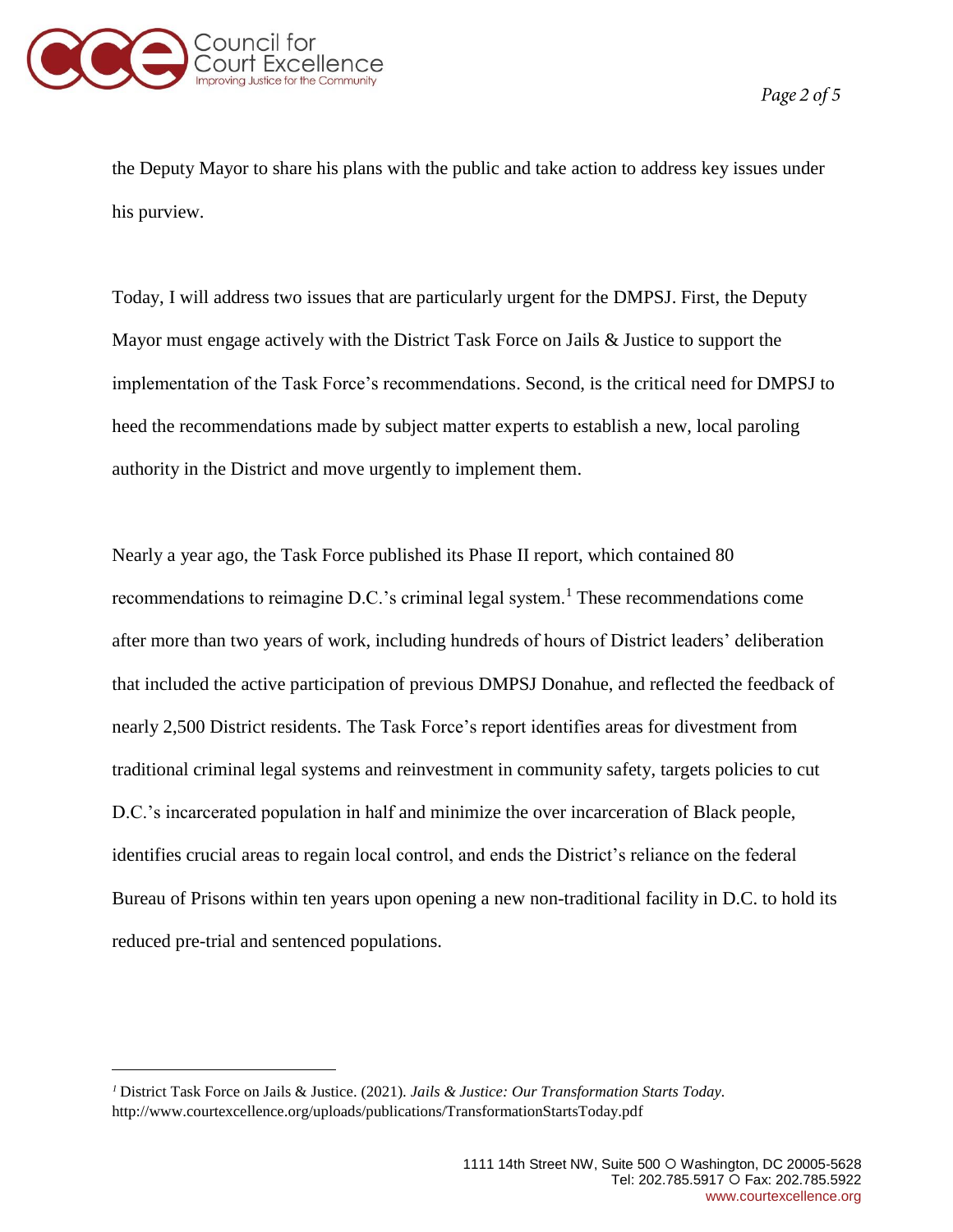

Page 2 of 5

the Deputy Mayor to share his plans with the public and take action to address key issues under his purview.

Today, I will address two issues that are particularly urgent for the DMPSJ. First, the Deputy Mayor must engage actively with the District Task Force on Jails & Justice to support the implementation of the Task Force's recommendations. Second, is the critical need for DMPSJ to heed the recommendations made by subject matter experts to establish a new, local paroling authority in the District and move urgently to implement them.

Nearly a year ago, the Task Force published its Phase II report, which contained 80 recommendations to reimagine  $D.C.'s$  criminal legal system.<sup>1</sup> These recommendations come after more than two years of work, including hundreds of hours of District leaders' deliberation that included the active participation of previous DMPSJ Donahue, and reflected the feedback of nearly 2,500 District residents. The Task Force's report identifies areas for divestment from traditional criminal legal systems and reinvestment in community safety, targets policies to cut D.C.'s incarcerated population in half and minimize the over incarceration of Black people, identifies crucial areas to regain local control, and ends the District's reliance on the federal Bureau of Prisons within ten years upon opening a new non-traditional facility in D.C. to hold its reduced pre-trial and sentenced populations.

District Task Force on Jails & Justice. (2021). *Jails & Justice: Our Transformation Starts Today.* <http://www.courtexcellence.org/uploads/publications/TransformationStartsToday.pdf>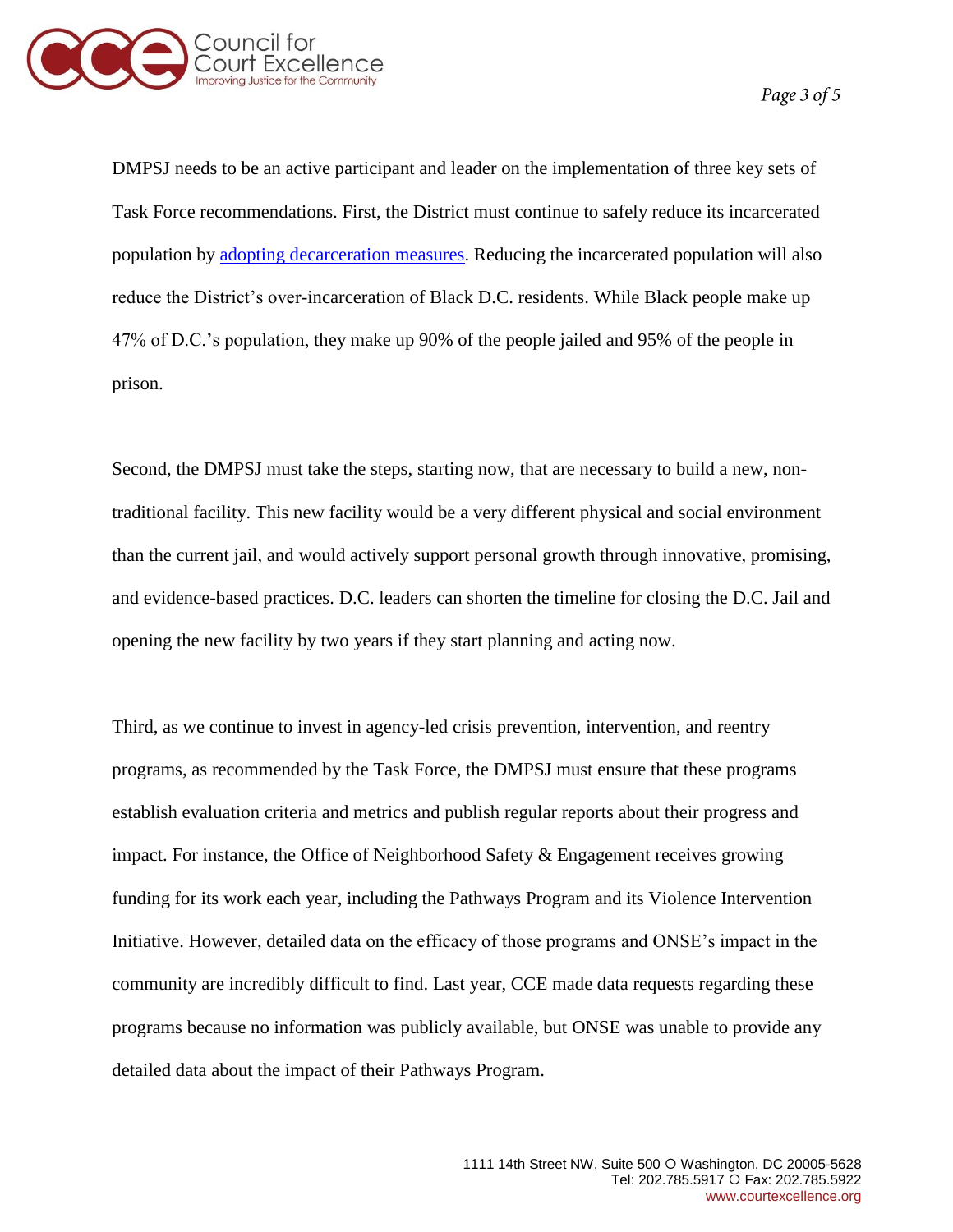

DMPSJ needs to be an active participant and leader on the implementation of three key sets of Task Force recommendations. First, the District must continue to safely reduce its incarcerated population by [adopting decarceration measures.](https://courtexcellence.box.com/s/5i30kprcyoy8qwoenzejr60a3a6g6ufd) Reducing the incarcerated population will also reduce the District's over-incarceration of Black D.C. residents. While Black people make up 47% of D.C.'s population, they make up 90% of the people jailed and 95% of the people in prison.

Second, the DMPSJ must take the steps, starting now, that are necessary to build a new, nontraditional facility. This new facility would be a very different physical and social environment than the current jail, and would actively support personal growth through innovative, promising, and evidence-based practices. D.C. leaders can shorten the timeline for closing the D.C. Jail and opening the new facility by two years if they start planning and acting now.

Third, as we continue to invest in agency-led crisis prevention, intervention, and reentry programs, as recommended by the Task Force, the DMPSJ must ensure that these programs establish evaluation criteria and metrics and publish regular reports about their progress and impact. For instance, the Office of Neighborhood Safety & Engagement receives growing funding for its work each year, including the Pathways Program and its Violence Intervention Initiative. However, detailed data on the efficacy of those programs and ONSE's impact in the community are incredibly difficult to find. Last year, CCE made data requests regarding these programs because no information was publicly available, but ONSE was unable to provide any detailed data about the impact of their Pathways Program.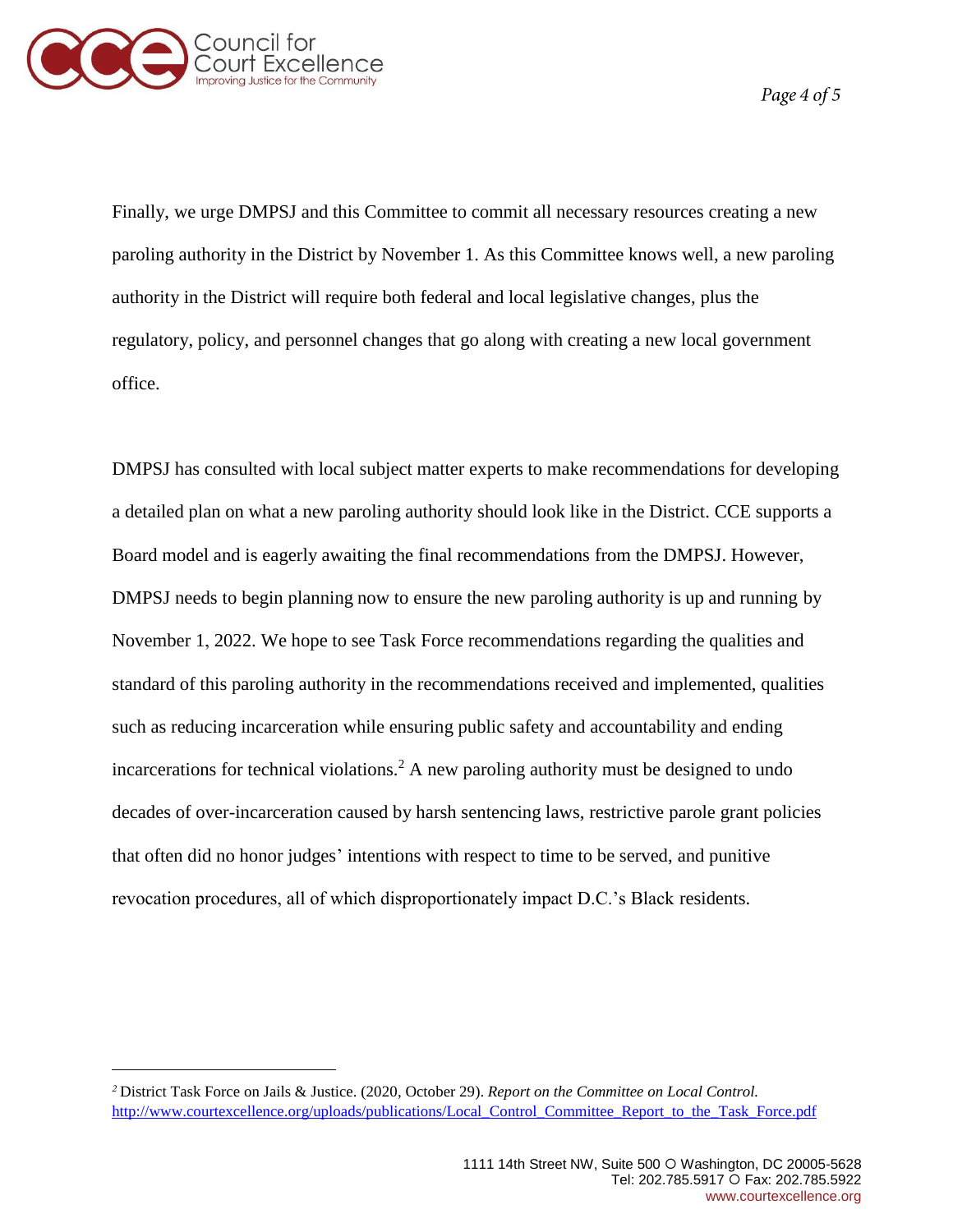

Page 4 of 5

Finally, we urge DMPSJ and this Committee to commit all necessary resources creating a new paroling authority in the District by November 1. As this Committee knows well, a new paroling authority in the District will require both federal and local legislative changes, plus the regulatory, policy, and personnel changes that go along with creating a new local government office.

DMPSJ has consulted with local subject matter experts to make recommendations for developing a detailed plan on what a new paroling authority should look like in the District. CCE supports a Board model and is eagerly awaiting the final recommendations from the DMPSJ. However, DMPSJ needs to begin planning now to ensure the new paroling authority is up and running by November 1, 2022. We hope to see Task Force recommendations regarding the qualities and standard of this paroling authority in the recommendations received and implemented, qualities such as reducing incarceration while ensuring public safety and accountability and ending incarcerations for technical violations.<sup>2</sup> A new paroling authority must be designed to undo decades of over-incarceration caused by harsh sentencing laws, restrictive parole grant policies that often did no honor judges' intentions with respect to time to be served, and punitive revocation procedures, all of which disproportionately impact D.C.'s Black residents.

District Task Force on Jails & Justice. (2020, October 29). *Report on the Committee on Local Control.*  [http://www.courtexcellence.org/uploads/publications/Local\\_Control\\_Committee\\_Report\\_to\\_the\\_Task\\_Force.pdf](http://www.courtexcellence.org/uploads/publications/Local_Control_Committee_Report_to_the_Task_Force.pdf)